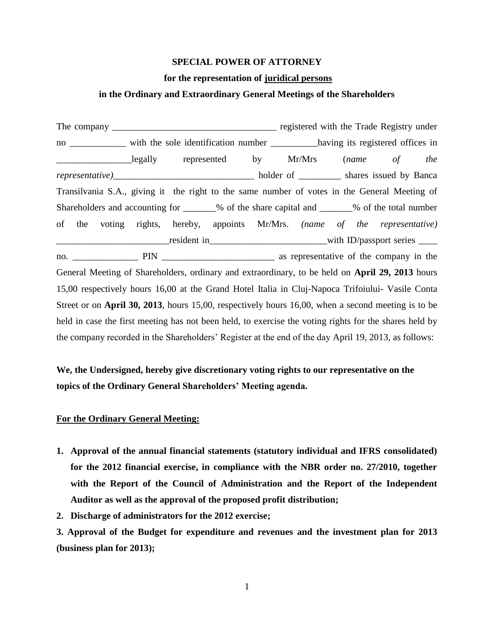### **SPECIAL POWER OF ATTORNEY**

### **for the representation of juridical persons**

# **in the Ordinary and Extraordinary General Meetings of the Shareholders**

The company \_\_\_\_\_\_\_\_\_\_\_\_\_\_\_\_\_\_\_\_\_\_\_\_\_\_\_\_\_\_\_\_\_\_\_ registered with the Trade Registry under no \_\_\_\_\_\_\_\_\_\_\_\_ with the sole identification number \_\_\_\_\_\_\_\_\_\_\_having its registered offices in \_\_\_\_\_\_\_\_\_\_\_\_\_\_\_\_legally represented by Mr/Mrs (*name of the representative)*\_\_\_\_\_\_\_\_\_\_\_\_\_\_\_\_\_\_\_\_\_\_\_\_\_\_\_\_\_\_ holder of \_\_\_\_\_\_\_\_\_ shares issued by Banca Transilvania S.A., giving it the right to the same number of votes in the General Meeting of Shareholders and accounting for \_\_\_\_\_\_% of the share capital and \_\_\_\_\_\_% of the total number of the voting rights, hereby, appoints Mr/Mrs. *(name of the representative)* \_\_\_\_\_\_\_\_\_\_\_\_\_\_\_\_\_\_\_\_\_\_\_\_resident in\_\_\_\_\_\_\_\_\_\_\_\_\_\_\_\_\_\_\_\_\_\_\_\_\_with ID/passport series \_\_\_\_ no. \_\_\_\_\_\_\_\_\_\_\_\_\_\_ PIN \_\_\_\_\_\_\_\_\_\_\_\_\_\_\_\_\_\_\_\_\_\_\_\_ as representative of the company in the General Meeting of Shareholders, ordinary and extraordinary, to be held on **April 29, 2013** hours 15,00 respectively hours 16,00 at the Grand Hotel Italia in Cluj-Napoca Trifoiului- Vasile Conta Street or on **April 30, 2013**, hours 15,00, respectively hours 16,00, when a second meeting is to be held in case the first meeting has not been held, to exercise the voting rights for the shares held by the company recorded in the Shareholders' Register at the end of the day April 19, 2013, as follows:

# **We, the Undersigned, hereby give discretionary voting rights to our representative on the topics of the Ordinary General Shareholders' Meeting agenda.**

## **For the Ordinary General Meeting:**

- **1. Approval of the annual financial statements (statutory individual and IFRS consolidated) for the 2012 financial exercise, in compliance with the NBR order no. 27/2010, together with the Report of the Council of Administration and the Report of the Independent Auditor as well as the approval of the proposed profit distribution;**
- **2. Discharge of administrators for the 2012 exercise;**

 **3. Approval of the Budget for expenditure and revenues and the investment plan for 2013 (business plan for 2013);**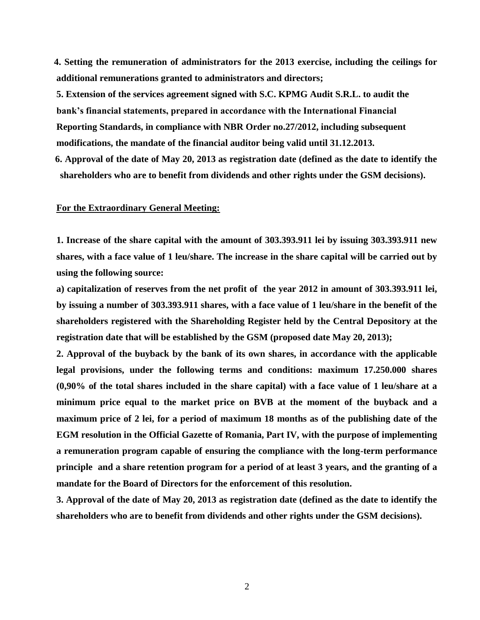**4. Setting the remuneration of administrators for the 2013 exercise, including the ceilings for additional remunerations granted to administrators and directors;**

**5. Extension of the services agreement signed with S.C. KPMG Audit S.R.L. to audit the bank's financial statements, prepared in accordance with the International Financial Reporting Standards, in compliance with NBR Order no.27/2012, including subsequent modifications, the mandate of the financial auditor being valid until 31.12.2013.**

 **6. Approval of the date of May 20, 2013 as registration date (defined as the date to identify the shareholders who are to benefit from dividends and other rights under the GSM decisions).** 

#### **For the Extraordinary General Meeting:**

**1. Increase of the share capital with the amount of 303.393.911 lei by issuing 303.393.911 new shares, with a face value of 1 leu/share. The increase in the share capital will be carried out by using the following source:**

**a) capitalization of reserves from the net profit of the year 2012 in amount of 303.393.911 lei, by issuing a number of 303.393.911 shares, with a face value of 1 leu/share in the benefit of the shareholders registered with the Shareholding Register held by the Central Depository at the registration date that will be established by the GSM (proposed date May 20, 2013);** 

**2. Approval of the buyback by the bank of its own shares, in accordance with the applicable legal provisions, under the following terms and conditions: maximum 17.250.000 shares (0,90% of the total shares included in the share capital) with a face value of 1 leu/share at a minimum price equal to the market price on BVB at the moment of the buyback and a maximum price of 2 lei, for a period of maximum 18 months as of the publishing date of the EGM resolution in the Official Gazette of Romania, Part IV, with the purpose of implementing a remuneration program capable of ensuring the compliance with the long-term performance principle and a share retention program for a period of at least 3 years, and the granting of a mandate for the Board of Directors for the enforcement of this resolution.** 

**3. Approval of the date of May 20, 2013 as registration date (defined as the date to identify the shareholders who are to benefit from dividends and other rights under the GSM decisions).**